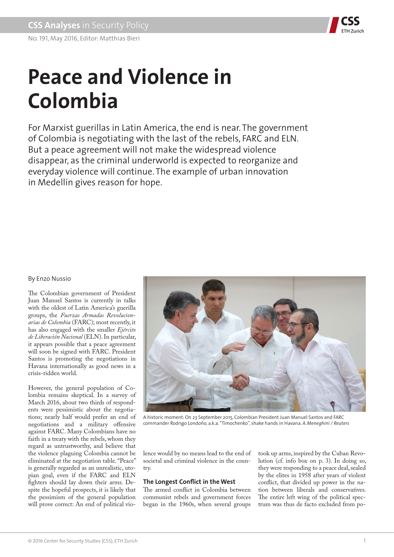

# **Peace and Violence in Colombia**

For Marxist guerillas in Latin America, the end is near. The government of Colombia is negotiating with the last of the rebels, FARC and ELN. But a peace agreement will not make the widespread violence disappear, as the criminal underworld is expected to reorganize and everyday violence will continue. The example of urban innovation in Medellín gives reason for hope.

# By Enzo Nussio

The Colombian government of President Juan Manuel Santos is currently in talks with the oldest of Latin America's guerilla groups, the *Fuerzas Armadas Revolucionarias de Colombia* (FARC); most recently, it has also engaged with the smaller *Ejército de Liberación Nacional* (ELN). In particular, it appears possible that a peace agreement will soon be signed with FARC. President Santos is promoting the negotiations in Havana internationally as good news in a crisis-ridden world.

However, the general population of Colombia remains skeptical. In a survey of March 2016, about two thirds of respondents were pessimistic about the negotiations; nearly half would prefer an end of negotiations and a military offensive against FARC. Many Colombians have no faith in a treaty with the rebels, whom they regard as untrustworthy, and believe that the violence plaguing Colombia cannot be eliminated at the negotiation table. "Peace" is generally regarded as an unrealistic, utopian goal, even if the FARC and ELN fighters should lay down their arms. Despite the hopeful prospects, it is likely that the pessimism of the general population will prove correct: An end of political vio-



A historic moment: On 23 September 2015, Colombian President Juan Manuel Santos and FARC commander Rodrigo Londoño, a.k.a. "Timochenko", shake hands in Havana. *A. Meneghini / Reuters*

lence would by no means lead to the end of societal and criminal violence in the country.

# **The Longest Conflict in the West**

The armed conflict in Colombia between communist rebels and government forces began in the 1960s, when several groups

took up arms, inspired by the Cuban Revolution (cf. info box on p. 3). In doing so, they were responding to a peace deal, sealed by the elites in 1958 after years of violent conflict, that divided up power in the nation between liberals and conservatives. The entire left wing of the political spectrum was thus de facto excluded from po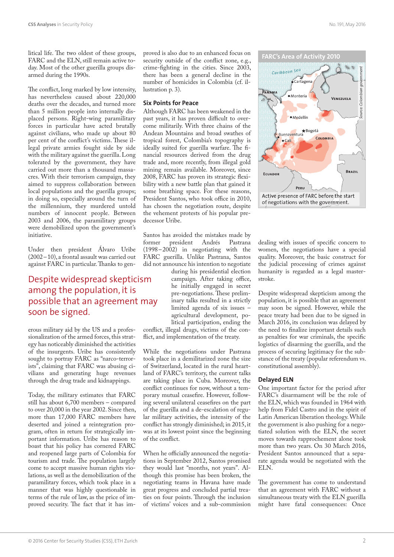litical life. The two oldest of these groups, FARC and the ELN, still remain active today. Most of the other guerilla groups disarmed during the 1990s.

The conflict, long marked by low intensity, has nevertheless caused about 220,000 deaths over the decades, and turned more than 5 million people into internally displaced persons. Right-wing paramilitary forces in particular have acted brutally against civilians, who made up about 80 per cent of the conflict's victims. These illegal private armies fought side by side with the military against the guerilla. Long tolerated by the government, they have carried out more than a thousand massacres. With their terrorism campaign, they aimed to suppress collaboration between local populations and the guerilla groups; in doing so, especially around the turn of the millennium, they murdered untold numbers of innocent people. Between 2003 and 2006, the paramilitary groups were demobilized upon the government's initiative.

Under then president Álvaro Uribe (2002 –10), a frontal assault was carried out against FARC in particular. Thanks to gen-

# Despite widespread skepticism among the population, it is possible that an agreement may soon be signed.

erous military aid by the US and a professionalization of the armed forces, this strategy has noticeably diminished the activities of the insurgents. Uribe has consistently sought to portray FARC as "narco-terrorists", claiming that FARC was abusing civilians and generating huge revenues through the drug trade and kidnappings.

Today, the military estimates that FARC still has about 6,700 members – compared to over 20,000 in the year 2002. Since then, more than 17,000 FARC members have deserted and joined a reintegration program, often in return for strategically important information. Uribe has reason to boast that his policy has cornered FARC and reopened large parts of Colombia for tourism and trade. The population largely come to accept massive human rights violations, as well as the demobilization of the paramilitary forces, which took place in a manner that was highly questionable in terms of the rule of law, as the price of improved security. The fact that it has improved is also due to an enhanced focus on security outside of the conflict zone, e.g., crime-fighting in the cities. Since 2003, there has been a general decline in the number of homicides in Colombia (cf. illustration p. 3).

# **Six Points for Peace**

Although FARC has been weakened in the past years, it has proven difficult to overcome militarily. With three chains of the Andean Mountains and broad swathes of tropical forest, Colombia's topography is ideally suited for guerilla warfare. The financial resources derived from the drug trade and, more recently, from illegal gold mining remain available. Moreover, since 2008, FARC has proven its strategic flexibility with a new battle plan that gained it some breathing space. For these reasons, President Santos, who took office in 2010, has chosen the negotiation route, despite the vehement protests of his popular predecessor Uribe.

Santos has avoided the mistakes made by<br>former president Andrés Pastrana former president Andrés Pastrana (1998 – 2002) in negotiating with the FARC guerilla. Unlike Pastrana, Santos did not announce his intention to negotiate

during his presidential election campaign. After taking office, he initially engaged in secret pre-negotiations. These preliminary talks resulted in a strictly limited agenda of six issues – agricultural development, political participation, ending the

conflict, illegal drugs, victims of the conflict, and implementation of the treaty.

While the negotiations under Pastrana took place in a demilitarized zone the size of Switzerland, located in the rural heartland of FARC's territory, the current talks are taking place in Cuba. Moreover, the conflict continues for now, without a temporary mutual ceasefire. However, following several unilateral ceasefires on the part of the guerilla and a de-escalation of regular military activities, the intensity of the conflict has strongly diminished; in 2015, it was at its lowest point since the beginning of the conflict.

When he officially announced the negotiations in September 2012, Santos promised they would last "months, not years". Although this promise has been broken, the negotiating teams in Havana have made great progress and concluded partial treaties on four points. Through the inclusion of victims' voices and a sub-commission



dealing with issues of specific concern to women, the negotiations have a special quality. Moreover, the basic construct for the judicial processing of crimes against humanity is regarded as a legal masterstroke.

Despite widespread skepticism among the population, it is possible that an agreement may soon be signed. However, while the peace treaty had been due to be signed in March 2016, its conclusion was delayed by the need to finalize important details such as penalties for war criminals, the specific logistics of disarming the guerilla, and the process of securing legitimacy for the substance of the treaty (popular referendum vs. constitutional assembly).

#### **Delayed ELN**

One important factor for the period after FARC's disarmament will be the role of the ELN, which was founded in 1964 with help from Fidel Castro and in the spirit of Latin American liberation theology. While the government is also pushing for a negotiated solution with the ELN, the secret moves towards rapprochement alone took more than two years. On 30 March 2016, President Santos announced that a separate agenda would be negotiated with the ELN.

The government has come to understand that an agreement with FARC without a simultaneous treaty with the ELN guerilla might have fatal consequences: Once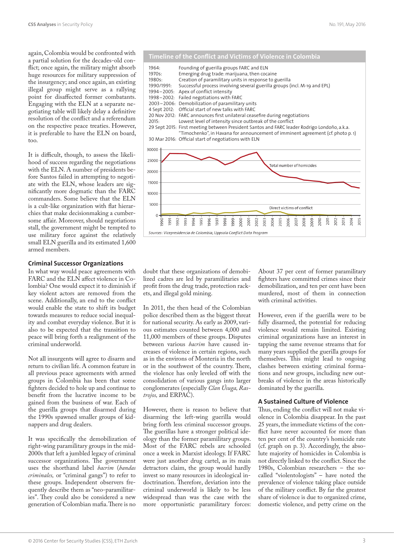again, Colombia would be confronted with a partial solution for the decades-old conflict; once again, the military might absorb huge resources for military suppression of the insurgency; and once again, an existing illegal group might serve as a rallying point for disaffected former combatants. Engaging with the ELN at a separate negotiating table will likely delay a definitive resolution of the conflict and a referendum on the respective peace treaties. However, it is preferable to have the ELN on board, too.

It is difficult, though, to assess the likelihood of success regarding the negotiations with the ELN. A number of presidents before Santos failed in attempting to negotiate with the ELN, whose leaders are significantly more dogmatic than the FARC commanders. Some believe that the ELN is a cult-like organization with flat hierarchies that make decisionmaking a cumbersome affair. Moreover, should negotiations stall, the government might be tempted to use military force against the relatively small ELN guerilla and its estimated 1,600 armed members.

#### **Criminal Successor Organizations**

In what way would peace agreements with FARC and the ELN affect violence in Colombia? One would expect it to diminish if key violent actors are removed from the scene. Additionally, an end to the conflict would enable the state to shift its budget towards measures to reduce social inequality and combat everyday violence. But it is also to be expected that the transition to peace will bring forth a realignment of the criminal underworld.

Not all insurgents will agree to disarm and return to civilian life. A common feature in all previous peace agreements with armed groups in Colombia has been that some fighters decided to hole up and continue to benefit from the lucrative income to be gained from the business of war. Each of the guerilla groups that disarmed during the 1990s spawned smaller groups of kidnappers and drug dealers.

It was specifically the demobilization of right-wing paramilitary groups in the mid-2000s that left a jumbled legacy of criminal successor organizations. The government uses the shorthand label *bacrim* (*bandas criminales,* or "criminal gangs") to refer to these groups. Independent observers frequently describe them as "neo-paramilitaries". They could also be considered a new generation of Colombian mafia. There is no





doubt that these organizations of demobilized cadres are led by paramilitaries and profit from the drug trade, protection rackets, and illegal gold mining.

In 2011, the then head of the Colombian police described them as the biggest threat for national security. As early as 2009, various estimates counted between 4,000 and 11,000 members of these groups. Disputes between various *bacrim* have caused increases of violence in certain regions, such as in the environs of Montería in the north or in the southwest of the country. There, the violence has only leveled off with the consolidation of various gangs into larger conglomerates (especially *Clan Úsuga, Rastrojos,* and ERPAC).

However, there is reason to believe that disarming the left-wing guerilla would bring forth less criminal successor groups. The guerillas have a stronger political ideology than the former paramilitary groups. Most of the FARC rebels are schooled once a week in Marxist ideology. If FARC were just another drug cartel, as its main detractors claim, the group would hardly invest so many resources in ideological indoctrination. Therefore, deviation into the criminal underworld is likely to be less widespread than was the case with the more opportunistic paramilitary forces:

About 37 per cent of former paramilitary fighters have committed crimes since their demobilization, and ten per cent have been murdered, most of them in connection with criminal activities.

However, even if the guerilla were to be fully disarmed, the potential for reducing violence would remain limited. Existing criminal organizations have an interest in tapping the same revenue streams that for many years supplied the guerilla groups for themselves. This might lead to ongoing clashes between existing criminal formations and new groups, including new outbreaks of violence in the areas historically dominated by the guerilla.

# **A Sustained Culture of Violence**

Thus, ending the conflict will not make violence in Colombia disappear. In the past 25 years, the immediate victims of the conflict have never accounted for more than ten per cent of the country's homicide rate (cf. graph on p. 3). Accordingly, the absolute majority of homicides in Colombia is not directly linked to the conflict. Since the 1980s, Colombian researchers – the socalled "violentologists" – have noted the prevalence of violence taking place outside of the military conflict. By far the greatest share of violence is due to organized crime, domestic violence, and petty crime on the